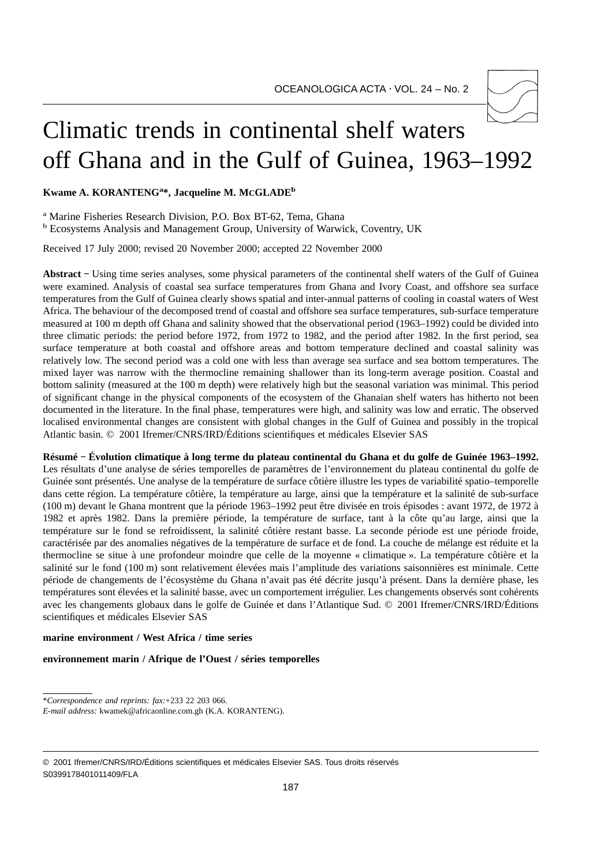

# Climatic trends in continental shelf waters off Ghana and in the Gulf of Guinea, 1963–1992

**Kwame A. KORANTENGa \*, Jacqueline M. MCGLADEb**

<sup>a</sup> Marine Fisheries Research Division, P.O. Box BT-62, Tema, Ghana

<sup>b</sup> Ecosystems Analysis and Management Group, University of Warwick, Coventry, UK

Received 17 July 2000; revised 20 November 2000; accepted 22 November 2000

**Abstract −** Using time series analyses, some physical parameters of the continental shelf waters of the Gulf of Guinea were examined. Analysis of coastal sea surface temperatures from Ghana and Ivory Coast, and offshore sea surface temperatures from the Gulf of Guinea clearly shows spatial and inter-annual patterns of cooling in coastal waters of West Africa. The behaviour of the decomposed trend of coastal and offshore sea surface temperatures, sub-surface temperature measured at 100 m depth off Ghana and salinity showed that the observational period (1963–1992) could be divided into three climatic periods: the period before 1972, from 1972 to 1982, and the period after 1982. In the first period, sea surface temperature at both coastal and offshore areas and bottom temperature declined and coastal salinity was relatively low. The second period was a cold one with less than average sea surface and sea bottom temperatures. The mixed layer was narrow with the thermocline remaining shallower than its long-term average position. Coastal and bottom salinity (measured at the 100 m depth) were relatively high but the seasonal variation was minimal. This period of significant change in the physical components of the ecosystem of the Ghanaian shelf waters has hitherto not been documented in the literature. In the final phase, temperatures were high, and salinity was low and erratic. The observed localised environmental changes are consistent with global changes in the Gulf of Guinea and possibly in the tropical Atlantic basin. © 2001 Ifremer/CNRS/IRD/Éditions scientifiques et médicales Elsevier SAS

**Résumé − Évolution climatique à long terme du plateau continental du Ghana et du golfe de Guinée 1963–1992.** Les résultats d'une analyse de séries temporelles de paramètres de l'environnement du plateau continental du golfe de Guinée sont présentés. Une analyse de la température de surface côtière illustre les types de variabilité spatio–temporelle dans cette région. La température côtière, la température au large, ainsi que la température et la salinité de sub-surface (100 m) devant le Ghana montrent que la période 1963–1992 peut être divisée en trois épisodes : avant 1972, de 1972 à 1982 et après 1982. Dans la première période, la température de surface, tant à la côte qu'au large, ainsi que la température sur le fond se refroidissent, la salinité côtière restant basse. La seconde période est une période froide, caractérisée par des anomalies négatives de la température de surface et de fond. La couche de mélange est réduite et la thermocline se situe à une profondeur moindre que celle de la moyenne « climatique ». La température côtière et la salinité sur le fond (100 m) sont relativement élevées mais l'amplitude des variations saisonnières est minimale. Cette période de changements de l'écosystème du Ghana n'avait pas été décrite jusqu'à présent. Dans la dernière phase, les températures sont élevées et la salinité basse, avec un comportement irrégulier. Les changements observés sont cohérents avec les changements globaux dans le golfe de Guinée et dans l'Atlantique Sud. © 2001 Ifremer/CNRS/IRD/Éditions scientifiques et médicales Elsevier SAS

### **marine environment / West Africa / time series**

# **environnement marin / Afrique de l'Ouest / séries temporelles**

\**Correspondence and reprints: fax:*+233 22 203 066.

*E-mail address:* kwamek@africaonline.com.gh (K.A. KORANTENG).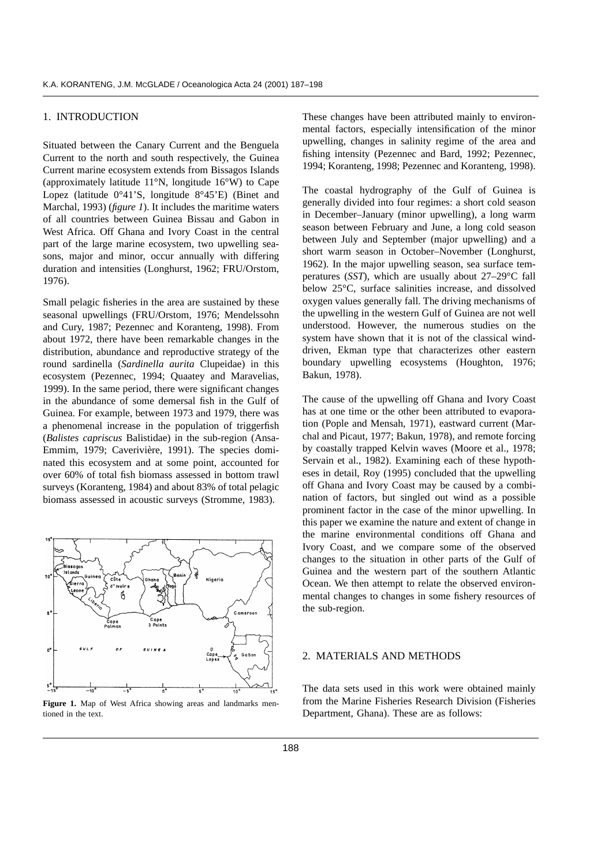# 1. INTRODUCTION

Situated between the Canary Current and the Benguela Current to the north and south respectively, the Guinea Current marine ecosystem extends from Bissagos Islands (approximately latitude 11°N, longitude 16°W) to Cape Lopez (latitude 0°41'S, longitude 8°45'E) (Binet and Marchal, 1993) (*figure 1*). It includes the maritime waters of all countries between Guinea Bissau and Gabon in West Africa. Off Ghana and Ivory Coast in the central part of the large marine ecosystem, two upwelling seasons, major and minor, occur annually with differing duration and intensities (Longhurst, 1962; FRU/Orstom, 1976).

Small pelagic fisheries in the area are sustained by these seasonal upwellings (FRU/Orstom, 1976; Mendelssohn and Cury, 1987; Pezennec and Koranteng, 1998). From about 1972, there have been remarkable changes in the distribution, abundance and reproductive strategy of the round sardinella (*Sardinella aurita* Clupeidae) in this ecosystem (Pezennec, 1994; Quaatey and Maravelias, 1999). In the same period, there were significant changes in the abundance of some demersal fish in the Gulf of Guinea. For example, between 1973 and 1979, there was a phenomenal increase in the population of triggerfish (*Balistes capriscus* Balistidae) in the sub-region (Ansa-Emmim, 1979; Caverivière, 1991). The species dominated this ecosystem and at some point, accounted for over 60% of total fish biomass assessed in bottom trawl surveys (Koranteng, 1984) and about 83% of total pelagic biomass assessed in acoustic surveys (Stromme, 1983).



**Figure 1.** Map of West Africa showing areas and landmarks mentioned in the text.

These changes have been attributed mainly to environmental factors, especially intensification of the minor upwelling, changes in salinity regime of the area and fishing intensity (Pezennec and Bard, 1992; Pezennec, 1994; Koranteng, 1998; Pezennec and Koranteng, 1998).

The coastal hydrography of the Gulf of Guinea is generally divided into four regimes: a short cold season in December–January (minor upwelling), a long warm season between February and June, a long cold season between July and September (major upwelling) and a short warm season in October–November (Longhurst, 1962). In the major upwelling season, sea surface temperatures (*SST*), which are usually about 27–29°C fall below 25°C, surface salinities increase, and dissolved oxygen values generally fall. The driving mechanisms of the upwelling in the western Gulf of Guinea are not well understood. However, the numerous studies on the system have shown that it is not of the classical winddriven, Ekman type that characterizes other eastern boundary upwelling ecosystems (Houghton, 1976; Bakun, 1978).

The cause of the upwelling off Ghana and Ivory Coast has at one time or the other been attributed to evaporation (Pople and Mensah, 1971), eastward current (Marchal and Picaut, 1977; Bakun, 1978), and remote forcing by coastally trapped Kelvin waves (Moore et al., 1978; Servain et al., 1982). Examining each of these hypotheses in detail, Roy (1995) concluded that the upwelling off Ghana and Ivory Coast may be caused by a combination of factors, but singled out wind as a possible prominent factor in the case of the minor upwelling. In this paper we examine the nature and extent of change in the marine environmental conditions off Ghana and Ivory Coast, and we compare some of the observed changes to the situation in other parts of the Gulf of Guinea and the western part of the southern Atlantic Ocean. We then attempt to relate the observed environmental changes to changes in some fishery resources of the sub-region.

#### 2. MATERIALS AND METHODS

The data sets used in this work were obtained mainly from the Marine Fisheries Research Division (Fisheries Department, Ghana). These are as follows: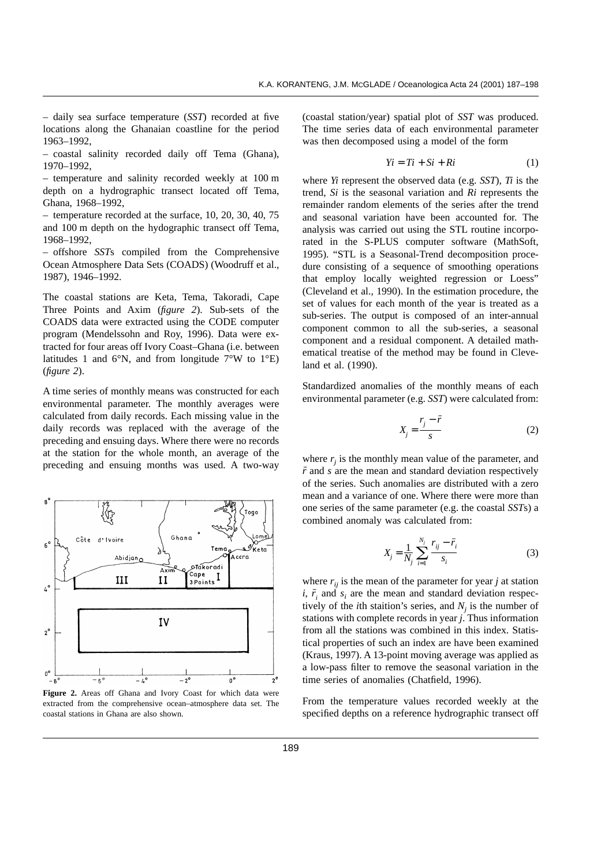– daily sea surface temperature (*SST*) recorded at five locations along the Ghanaian coastline for the period 1963–1992,

– coastal salinity recorded daily off Tema (Ghana), 1970–1992,

– temperature and salinity recorded weekly at 100 m depth on a hydrographic transect located off Tema, Ghana, 1968–1992,

– temperature recorded at the surface, 10, 20, 30, 40, 75 and 100 m depth on the hydographic transect off Tema, 1968–1992,

– offshore *SST*s compiled from the Comprehensive Ocean Atmosphere Data Sets (COADS) (Woodruff et al., 1987), 1946–1992.

The coastal stations are Keta, Tema, Takoradi, Cape Three Points and Axim (*figure 2*). Sub-sets of the COADS data were extracted using the CODE computer program (Mendelssohn and Roy, 1996). Data were extracted for four areas off Ivory Coast–Ghana (i.e. between latitudes 1 and 6 $\rm\degree N$ , and from longitude 7 $\rm\degree W$  to 1 $\rm\degree E$ ) (*figure 2*).

A time series of monthly means was constructed for each environmental parameter. The monthly averages were calculated from daily records. Each missing value in the daily records was replaced with the average of the preceding and ensuing days. Where there were no records at the station for the whole month, an average of the preceding and ensuing months was used. A two-way



**Figure 2.** Areas off Ghana and Ivory Coast for which data were extracted from the comprehensive ocean–atmosphere data set. The coastal stations in Ghana are also shown.

(coastal station/year) spatial plot of *SST* was produced. The time series data of each environmental parameter was then decomposed using a model of the form

$$
Yi = Ti + Si + Ri \tag{1}
$$

where *Yi* represent the observed data (e.g. *SST*), *Ti* is the trend, *Si* is the seasonal variation and *Ri* represents the remainder random elements of the series after the trend and seasonal variation have been accounted for. The analysis was carried out using the STL routine incorporated in the S-PLUS computer software (MathSoft, 1995). "STL is a Seasonal-Trend decomposition procedure consisting of a sequence of smoothing operations that employ locally weighted regression or Loess" (Cleveland et al., 1990). In the estimation procedure, the set of values for each month of the year is treated as a sub-series. The output is composed of an inter-annual component common to all the sub-series, a seasonal component and a residual component. A detailed mathematical treatise of the method may be found in Cleveland et al. (1990).

Standardized anomalies of the monthly means of each environmental parameter (e.g. *SST*) were calculated from:

$$
X_j = \frac{r_j - \bar{r}}{s} \tag{2}
$$

where  $r_i$  is the monthly mean value of the parameter, and  $\bar{r}$  and *s* are the mean and standard deviation respectively of the series. Such anomalies are distributed with a zero mean and a variance of one. Where there were more than one series of the same parameter (e.g. the coastal *SST*s) a combined anomaly was calculated from:

$$
X_{j} = \frac{1}{N_{j}} \sum_{i=1}^{N_{j}} \frac{r_{ij} - \bar{r}_{i}}{s_{i}}
$$
 (3)

where  $r_{ij}$  is the mean of the parameter for year *j* at station *i*,  $\bar{r}_i$  and  $s_i$  are the mean and standard deviation respectively of the *i*th staition's series, and  $N_i$  is the number of stations with complete records in year *j*. Thus information from all the stations was combined in this index. Statistical properties of such an index are have been examined (Kraus, 1997). A 13-point moving average was applied as a low-pass filter to remove the seasonal variation in the time series of anomalies (Chatfield, 1996).

From the temperature values recorded weekly at the specified depths on a reference hydrographic transect off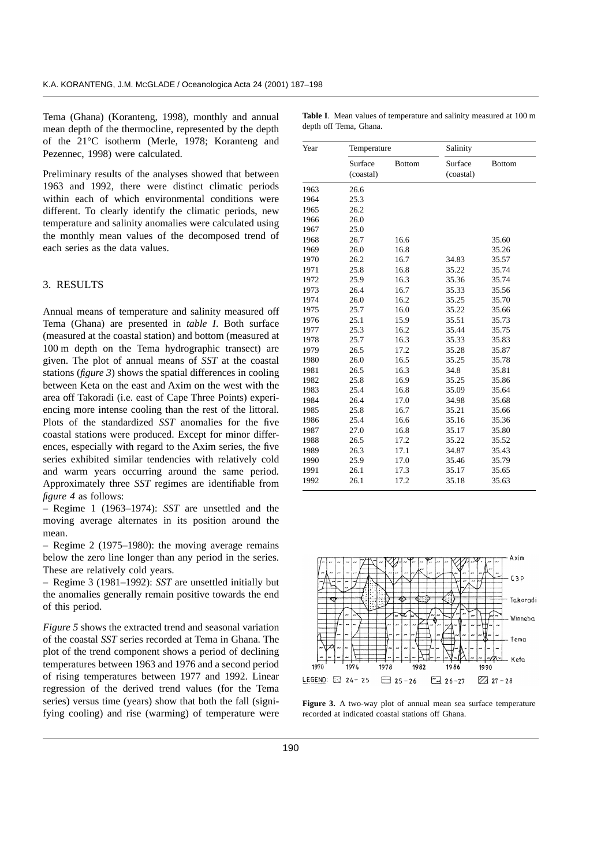Tema (Ghana) (Koranteng, 1998), monthly and annual mean depth of the thermocline, represented by the depth of the 21°C isotherm (Merle, 1978; Koranteng and Pezennec, 1998) were calculated.

Preliminary results of the analyses showed that between 1963 and 1992, there were distinct climatic periods within each of which environmental conditions were different. To clearly identify the climatic periods, new temperature and salinity anomalies were calculated using the monthly mean values of the decomposed trend of each series as the data values.

# 3. RESULTS

Annual means of temperature and salinity measured off Tema (Ghana) are presented in *table I*. Both surface (measured at the coastal station) and bottom (measured at 100 m depth on the Tema hydrographic transect) are given. The plot of annual means of *SST* at the coastal stations (*figure 3*) shows the spatial differences in cooling between Keta on the east and Axim on the west with the area off Takoradi (i.e. east of Cape Three Points) experiencing more intense cooling than the rest of the littoral. Plots of the standardized *SST* anomalies for the five coastal stations were produced. Except for minor differences, especially with regard to the Axim series, the five series exhibited similar tendencies with relatively cold and warm years occurring around the same period. Approximately three *SST* regimes are identifiable from *figure 4* as follows:

– Regime 1 (1963–1974): *SST* are unsettled and the moving average alternates in its position around the mean.

– Regime 2 (1975–1980): the moving average remains below the zero line longer than any period in the series. These are relatively cold years.

– Regime 3 (1981–1992): *SST* are unsettled initially but the anomalies generally remain positive towards the end of this period.

*Figure 5* shows the extracted trend and seasonal variation of the coastal *SST* series recorded at Tema in Ghana. The plot of the trend component shows a period of declining temperatures between 1963 and 1976 and a second period of rising temperatures between 1977 and 1992. Linear regression of the derived trend values (for the Tema series) versus time (years) show that both the fall (signifying cooling) and rise (warming) of temperature were

| Year | Temperature          |               | Salinity             |               |
|------|----------------------|---------------|----------------------|---------------|
|      | Surface<br>(coastal) | <b>Bottom</b> | Surface<br>(coastal) | <b>Bottom</b> |
| 1963 | 26.6                 |               |                      |               |
| 1964 | 25.3                 |               |                      |               |
| 1965 | 26.2                 |               |                      |               |
| 1966 | 26.0                 |               |                      |               |
| 1967 | 25.0                 |               |                      |               |
| 1968 | 26.7                 | 16.6          |                      | 35.60         |
| 1969 | 26.0                 | 16.8          |                      | 35.26         |
| 1970 | 26.2                 | 16.7          | 34.83                | 35.57         |
| 1971 | 25.8                 | 16.8          | 35.22                | 35.74         |
| 1972 | 25.9                 | 16.3          | 35.36                | 35.74         |
| 1973 | 26.4                 | 16.7          | 35.33                | 35.56         |
| 1974 | 26.0                 | 16.2          | 35.25                | 35.70         |
| 1975 | 25.7                 | 16.0          | 35.22                | 35.66         |
| 1976 | 25.1                 | 15.9          | 35.51                | 35.73         |
| 1977 | 25.3                 | 16.2          | 35.44                | 35.75         |
| 1978 | 25.7                 | 16.3          | 35.33                | 35.83         |
| 1979 | 26.5                 | 17.2          | 35.28                | 35.87         |
| 1980 | 26.0                 | 16.5          | 35.25                | 35.78         |
| 1981 | 26.5                 | 16.3          | 34.8                 | 35.81         |
| 1982 | 25.8                 | 16.9          | 35.25                | 35.86         |
| 1983 | 25.4                 | 16.8          | 35.09                | 35.64         |
| 1984 | 26.4                 | 17.0          | 34.98                | 35.68         |
| 1985 | 25.8                 | 16.7          | 35.21                | 35.66         |
| 1986 | 25.4                 | 16.6          | 35.16                | 35.36         |
| 1987 | 27.0                 | 16.8          | 35.17                | 35.80         |
| 1988 | 26.5                 | 17.2          | 35.22                | 35.52         |
| 1989 | 26.3                 | 17.1          | 34.87                | 35.43         |
| 1990 | 25.9                 | 17.0          | 35.46                | 35.79         |
| 1991 | 26.1                 | 17.3          | 35.17                | 35.65         |
| 1992 | 26.1                 | 17.2          | 35.18                | 35.63         |



**Table I**. Mean values of temperature and salinity measured at 100 m depth off Tema, Ghana.

1982

 $10R$ 

 $\boxed{26-27}$ 

1990

 $\sqrt{22}$  27 - 28

1970

 $197l$ 

LEGEND:  $\Box$  24-25

1978

 $\Box$  25 - 26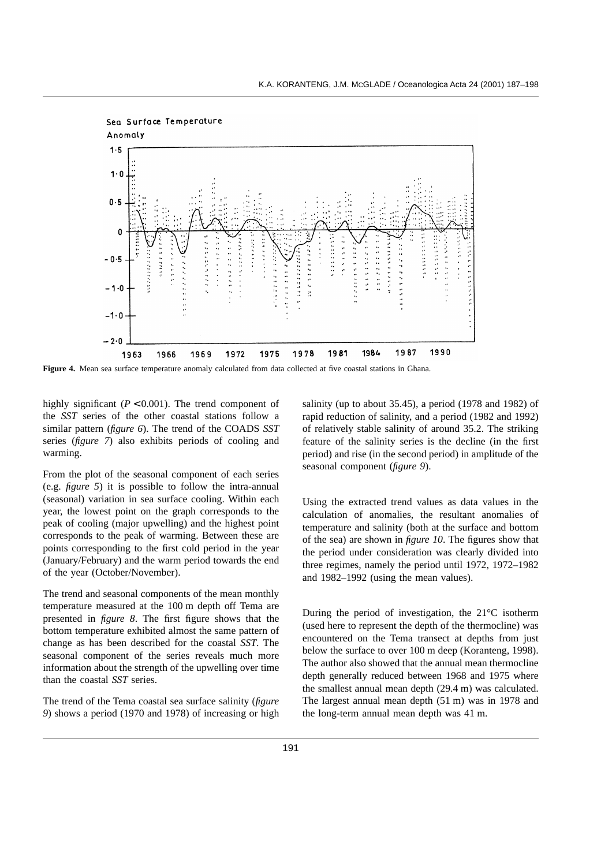

**Figure 4.** Mean sea surface temperature anomaly calculated from data collected at five coastal stations in Ghana.

highly significant  $(P < 0.001)$ . The trend component of the *SST* series of the other coastal stations follow a similar pattern (*figure 6*). The trend of the COADS *SST* series (*figure 7*) also exhibits periods of cooling and warming.

From the plot of the seasonal component of each series (e.g. *figure 5*) it is possible to follow the intra-annual (seasonal) variation in sea surface cooling. Within each year, the lowest point on the graph corresponds to the peak of cooling (major upwelling) and the highest point corresponds to the peak of warming. Between these are points corresponding to the first cold period in the year (January/February) and the warm period towards the end of the year (October/November).

The trend and seasonal components of the mean monthly temperature measured at the 100 m depth off Tema are presented in *figure 8*. The first figure shows that the bottom temperature exhibited almost the same pattern of change as has been described for the coastal *SST*. The seasonal component of the series reveals much more information about the strength of the upwelling over time than the coastal *SST* series.

The trend of the Tema coastal sea surface salinity (*figure 9*) shows a period (1970 and 1978) of increasing or high salinity (up to about 35.45), a period (1978 and 1982) of rapid reduction of salinity, and a period (1982 and 1992) of relatively stable salinity of around 35.2. The striking feature of the salinity series is the decline (in the first period) and rise (in the second period) in amplitude of the seasonal component (*figure 9*).

Using the extracted trend values as data values in the calculation of anomalies, the resultant anomalies of temperature and salinity (both at the surface and bottom of the sea) are shown in *figure 10*. The figures show that the period under consideration was clearly divided into three regimes, namely the period until 1972, 1972–1982 and 1982–1992 (using the mean values).

During the period of investigation, the 21°C isotherm (used here to represent the depth of the thermocline) was encountered on the Tema transect at depths from just below the surface to over 100 m deep (Koranteng, 1998). The author also showed that the annual mean thermocline depth generally reduced between 1968 and 1975 where the smallest annual mean depth (29.4 m) was calculated. The largest annual mean depth (51 m) was in 1978 and the long-term annual mean depth was 41 m.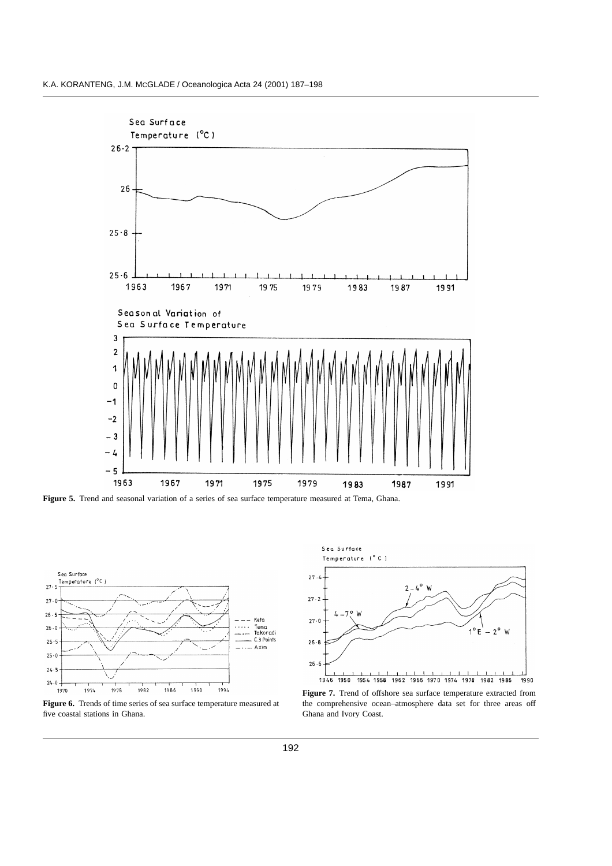

**Figure 5.** Trend and seasonal variation of a series of sea surface temperature measured at Tema, Ghana.



**Figure 6.** Trends of time series of sea surface temperature measured at five coastal stations in Ghana.



**Figure 7.** Trend of offshore sea surface temperature extracted from the comprehensive ocean–atmosphere data set for three areas off Ghana and Ivory Coast.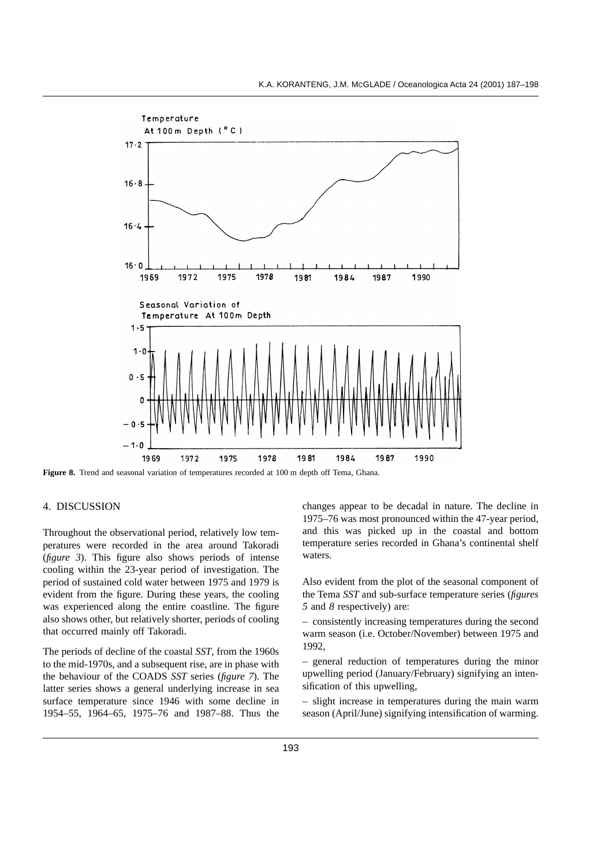

**Figure 8.** Trend and seasonal variation of temperatures recorded at 100 m depth off Tema, Ghana.

# 4. DISCUSSION

Throughout the observational period, relatively low temperatures were recorded in the area around Takoradi (*figure 3*). This figure also shows periods of intense cooling within the 23-year period of investigation. The period of sustained cold water between 1975 and 1979 is evident from the figure. During these years, the cooling was experienced along the entire coastline. The figure also shows other, but relatively shorter, periods of cooling that occurred mainly off Takoradi.

The periods of decline of the coastal *SST*, from the 1960s to the mid-1970s, and a subsequent rise, are in phase with the behaviour of the COADS *SST* series (*figure 7*). The latter series shows a general underlying increase in sea surface temperature since 1946 with some decline in 1954–55, 1964–65, 1975–76 and 1987–88. Thus the changes appear to be decadal in nature. The decline in 1975–76 was most pronounced within the 47-year period, and this was picked up in the coastal and bottom temperature series recorded in Ghana's continental shelf waters.

Also evident from the plot of the seasonal component of the Tema *SST* and sub-surface temperature series (*figures 5* and *8* respectively) are:

– consistently increasing temperatures during the second warm season (i.e. October/November) between 1975 and 1992,

– general reduction of temperatures during the minor upwelling period (January/February) signifying an intensification of this upwelling,

– slight increase in temperatures during the main warm season (April/June) signifying intensification of warming.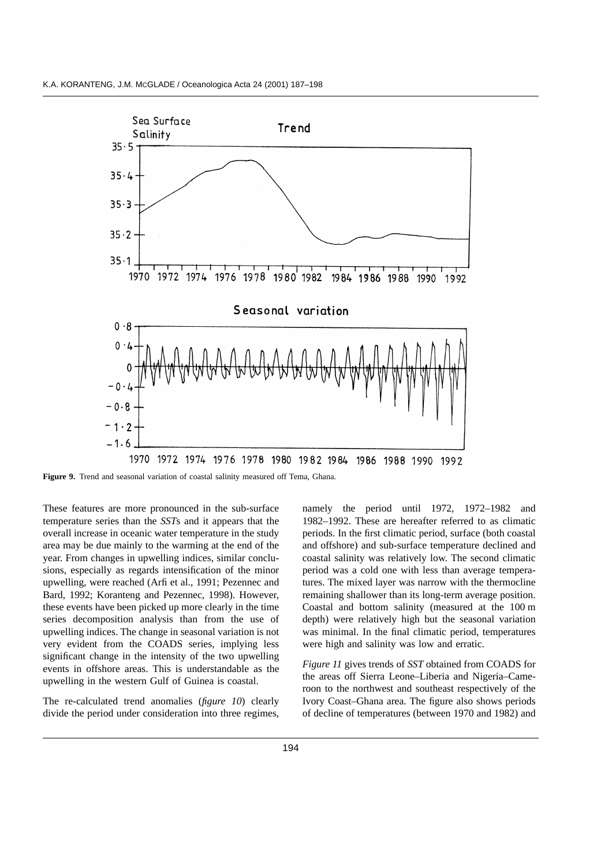

**Figure 9.** Trend and seasonal variation of coastal salinity measured off Tema, Ghana.

These features are more pronounced in the sub-surface temperature series than the *SST*s and it appears that the overall increase in oceanic water temperature in the study area may be due mainly to the warming at the end of the year. From changes in upwelling indices, similar conclusions, especially as regards intensification of the minor upwelling, were reached (Arfi et al., 1991; Pezennec and Bard, 1992; Koranteng and Pezennec, 1998). However, these events have been picked up more clearly in the time series decomposition analysis than from the use of upwelling indices. The change in seasonal variation is not very evident from the COADS series, implying less significant change in the intensity of the two upwelling events in offshore areas. This is understandable as the upwelling in the western Gulf of Guinea is coastal.

The re-calculated trend anomalies (*figure 10*) clearly divide the period under consideration into three regimes, namely the period until 1972, 1972–1982 and 1982–1992. These are hereafter referred to as climatic periods. In the first climatic period, surface (both coastal and offshore) and sub-surface temperature declined and coastal salinity was relatively low. The second climatic period was a cold one with less than average temperatures. The mixed layer was narrow with the thermocline remaining shallower than its long-term average position. Coastal and bottom salinity (measured at the 100 m depth) were relatively high but the seasonal variation was minimal. In the final climatic period, temperatures were high and salinity was low and erratic.

*Figure 11* gives trends of *SST* obtained from COADS for the areas off Sierra Leone–Liberia and Nigeria–Cameroon to the northwest and southeast respectively of the Ivory Coast–Ghana area. The figure also shows periods of decline of temperatures (between 1970 and 1982) and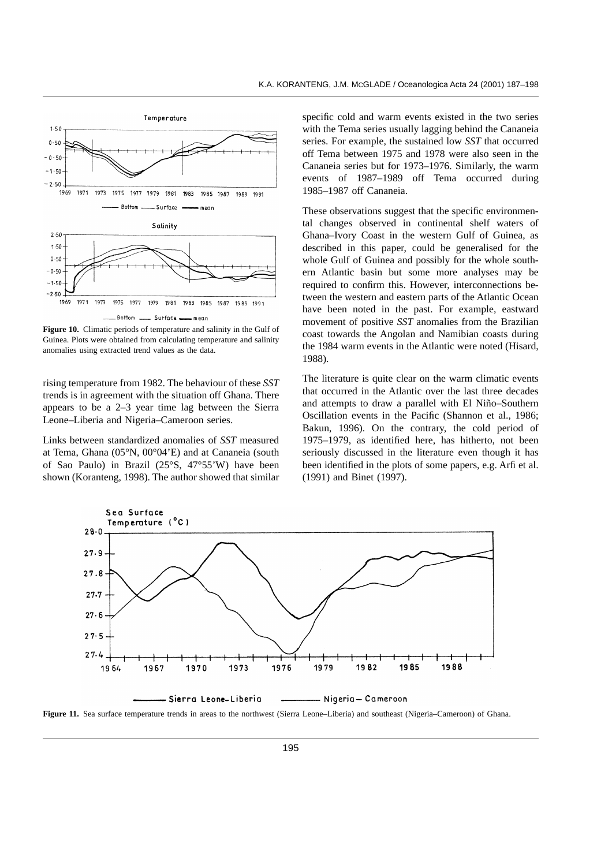

**Figure 10.** Climatic periods of temperature and salinity in the Gulf of Guinea. Plots were obtained from calculating temperature and salinity anomalies using extracted trend values as the data.

rising temperature from 1982. The behaviour of these *SST* trends is in agreement with the situation off Ghana. There appears to be a 2–3 year time lag between the Sierra Leone–Liberia and Nigeria–Cameroon series.

Links between standardized anomalies of *SST* measured at Tema, Ghana (05°N, 00°04'E) and at Cananeia (south of Sao Paulo) in Brazil (25°S, 47°55'W) have been shown (Koranteng, 1998). The author showed that similar specific cold and warm events existed in the two series with the Tema series usually lagging behind the Cananeia series. For example, the sustained low *SST* that occurred off Tema between 1975 and 1978 were also seen in the Cananeia series but for 1973–1976. Similarly, the warm events of 1987–1989 off Tema occurred during 1985–1987 off Cananeia.

These observations suggest that the specific environmental changes observed in continental shelf waters of Ghana–Ivory Coast in the western Gulf of Guinea, as described in this paper, could be generalised for the whole Gulf of Guinea and possibly for the whole southern Atlantic basin but some more analyses may be required to confirm this. However, interconnections between the western and eastern parts of the Atlantic Ocean have been noted in the past. For example, eastward movement of positive *SST* anomalies from the Brazilian coast towards the Angolan and Namibian coasts during the 1984 warm events in the Atlantic were noted (Hisard, 1988).

The literature is quite clear on the warm climatic events that occurred in the Atlantic over the last three decades and attempts to draw a parallel with El Niño–Southern Oscillation events in the Pacific (Shannon et al., 1986; Bakun, 1996). On the contrary, the cold period of 1975–1979, as identified here, has hitherto, not been seriously discussed in the literature even though it has been identified in the plots of some papers, e.g. Arfi et al. (1991) and Binet (1997).



**Figure 11.** Sea surface temperature trends in areas to the northwest (Sierra Leone–Liberia) and southeast (Nigeria–Cameroon) of Ghana.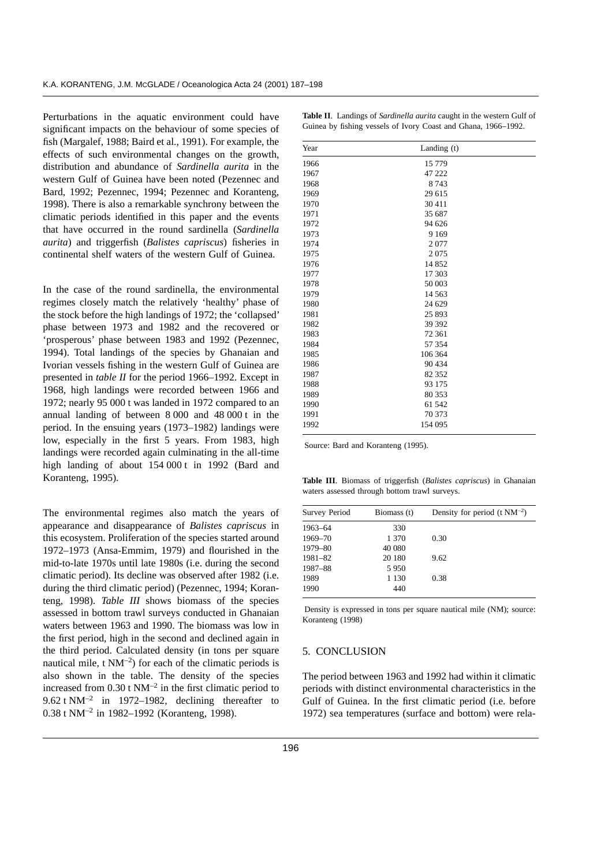Perturbations in the aquatic environment could have significant impacts on the behaviour of some species of fish (Margalef, 1988; Baird et al., 1991). For example, the effects of such environmental changes on the growth, distribution and abundance of *Sardinella aurita* in the western Gulf of Guinea have been noted (Pezennec and Bard, 1992; Pezennec, 1994; Pezennec and Koranteng, 1998). There is also a remarkable synchrony between the climatic periods identified in this paper and the events that have occurred in the round sardinella (*Sardinella aurita*) and triggerfish (*Balistes capriscus*) fisheries in continental shelf waters of the western Gulf of Guinea.

In the case of the round sardinella, the environmental regimes closely match the relatively 'healthy' phase of the stock before the high landings of 1972; the 'collapsed' phase between 1973 and 1982 and the recovered or 'prosperous' phase between 1983 and 1992 (Pezennec, 1994). Total landings of the species by Ghanaian and Ivorian vessels fishing in the western Gulf of Guinea are presented in *table II* for the period 1966–1992. Except in 1968, high landings were recorded between 1966 and 1972; nearly 95 000 t was landed in 1972 compared to an annual landing of between 8 000 and 48 000 t in the period. In the ensuing years (1973–1982) landings were low, especially in the first 5 years. From 1983, high landings were recorded again culminating in the all-time high landing of about 154 000 t in 1992 (Bard and Koranteng, 1995).

The environmental regimes also match the years of appearance and disappearance of *Balistes capriscus* in this ecosystem. Proliferation of the species started around 1972–1973 (Ansa-Emmim, 1979) and flourished in the mid-to-late 1970s until late 1980s (i.e. during the second climatic period). Its decline was observed after 1982 (i.e. during the third climatic period) (Pezennec, 1994; Koranteng, 1998). *Table III* shows biomass of the species assessed in bottom trawl surveys conducted in Ghanaian waters between 1963 and 1990. The biomass was low in the first period, high in the second and declined again in the third period. Calculated density (in tons per square nautical mile,  $t \text{ NM}^{-2}$ ) for each of the climatic periods is also shown in the table. The density of the species increased from  $0.30$  t NM<sup>-2</sup> in the first climatic period to 9.62 t NM<sup>-2</sup> in 1972–1982, declining thereafter to 0.38 t NM–2 in 1982–1992 (Koranteng, 1998).

| Year | Landing $(t)$ |  |  |
|------|---------------|--|--|
| 1966 | 15 779        |  |  |
| 1967 | 47 222        |  |  |
| 1968 | 8743          |  |  |
| 1969 | 29 615        |  |  |
| 1970 | 30 411        |  |  |
| 1971 | 35 687        |  |  |
| 1972 | 94 626        |  |  |
| 1973 | 9 1 6 9       |  |  |
| 1974 | 2077          |  |  |
| 1975 | 2075          |  |  |
| 1976 | 14 852        |  |  |
| 1977 | 17 303        |  |  |
| 1978 | 50 003        |  |  |
| 1979 | 14 5 63       |  |  |
| 1980 | 24 629        |  |  |
| 1981 | 25 893        |  |  |
| 1982 | 39 39 2       |  |  |
| 1983 | 72 361        |  |  |
| 1984 | 57 354        |  |  |
| 1985 | 106 364       |  |  |
| 1986 | 90 434        |  |  |
| 1987 | 82 352        |  |  |
| 1988 | 93 175        |  |  |
| 1989 | 80 353        |  |  |
| 1990 | 61 542        |  |  |
| 1991 | 70 373        |  |  |
| 1992 | 154 095       |  |  |

**Table II**. Landings of *Sardinella aurita* caught in the western Gulf of Guinea by fishing vessels of Ivory Coast and Ghana, 1966–1992.

Source: Bard and Koranteng (1995).

**Table III**. Biomass of triggerfish (*Balistes capriscus*) in Ghanaian waters assessed through bottom trawl surveys.

| Survey Period | Biomass (t) | Density for period $(t \text{ NM}^{-2})$ |
|---------------|-------------|------------------------------------------|
| 1963-64       | 330         |                                          |
| 1969-70       | 1 370       | 0.30                                     |
| 1979-80       | 40 080      |                                          |
| 1981-82       | 20 180      | 9.62                                     |
| 1987-88       | 5950        |                                          |
| 1989          | 1 1 3 0     | 0.38                                     |
| 1990          | 440         |                                          |

Density is expressed in tons per square nautical mile (NM); source: Koranteng (1998)

## 5. CONCLUSION

The period between 1963 and 1992 had within it climatic periods with distinct environmental characteristics in the Gulf of Guinea. In the first climatic period (i.e. before 1972) sea temperatures (surface and bottom) were rela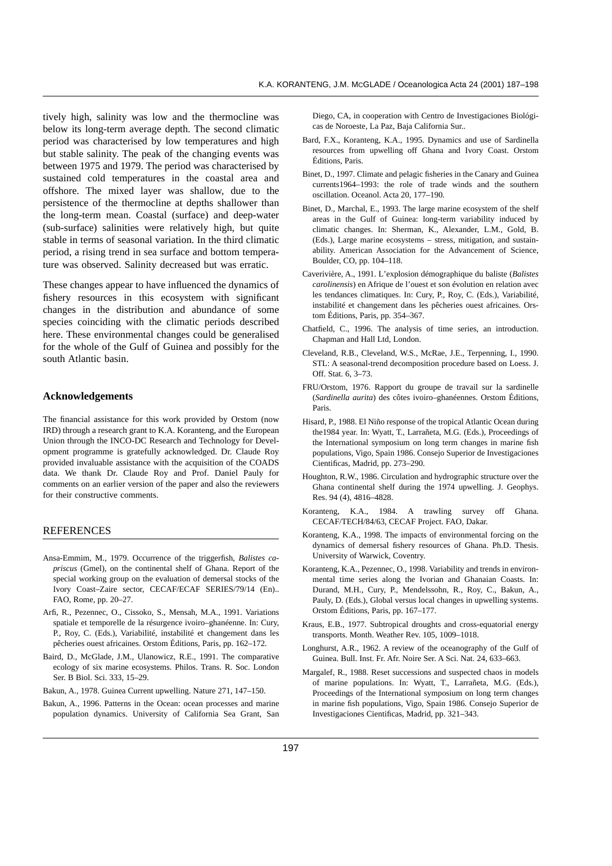tively high, salinity was low and the thermocline was below its long-term average depth. The second climatic period was characterised by low temperatures and high but stable salinity. The peak of the changing events was between 1975 and 1979. The period was characterised by sustained cold temperatures in the coastal area and offshore. The mixed layer was shallow, due to the persistence of the thermocline at depths shallower than the long-term mean. Coastal (surface) and deep-water (sub-surface) salinities were relatively high, but quite stable in terms of seasonal variation. In the third climatic period, a rising trend in sea surface and bottom temperature was observed. Salinity decreased but was erratic.

These changes appear to have influenced the dynamics of fishery resources in this ecosystem with significant changes in the distribution and abundance of some species coinciding with the climatic periods described here. These environmental changes could be generalised for the whole of the Gulf of Guinea and possibly for the south Atlantic basin.

### **Acknowledgements**

The financial assistance for this work provided by Orstom (now IRD) through a research grant to K.A. Koranteng, and the European Union through the INCO-DC Research and Technology for Development programme is gratefully acknowledged. Dr. Claude Roy provided invaluable assistance with the acquisition of the COADS data. We thank Dr. Claude Roy and Prof. Daniel Pauly for comments on an earlier version of the paper and also the reviewers for their constructive comments.

# REFERENCES

- Ansa-Emmim, M., 1979. Occurrence of the triggerfish, *Balistes capriscus* (Gmel), on the continental shelf of Ghana. Report of the special working group on the evaluation of demersal stocks of the Ivory Coast–Zaire sector, CECAF/ECAF SERIES/79/14 (En).. FAO, Rome, pp. 20–27.
- Arfi, R., Pezennec, O., Cissoko, S., Mensah, M.A., 1991. Variations spatiale et temporelle de la résurgence ivoiro–ghanéenne. In: Cury, P., Roy, C. (Eds.), Variabilité, instabilité et changement dans les pêcheries ouest africaines. Orstom Éditions, Paris, pp. 162–172.
- Baird, D., McGlade, J.M., Ulanowicz, R.E., 1991. The comparative ecology of six marine ecosystems. Philos. Trans. R. Soc. London Ser. B Biol. Sci. 333, 15–29.
- Bakun, A., 1978. Guinea Current upwelling. Nature 271, 147–150.
- Bakun, A., 1996. Patterns in the Ocean: ocean processes and marine population dynamics. University of California Sea Grant, San

Diego, CA, in cooperation with Centro de Investigaciones Biológicas de Noroeste, La Paz, Baja California Sur..

- Bard, F.X., Koranteng, K.A., 1995. Dynamics and use of Sardinella resources from upwelling off Ghana and Ivory Coast. Orstom Éditions, Paris.
- Binet, D., 1997. Climate and pelagic fisheries in the Canary and Guinea currents1964–1993: the role of trade winds and the southern oscillation. Oceanol. Acta 20, 177–190.
- Binet, D., Marchal, E., 1993. The large marine ecosystem of the shelf areas in the Gulf of Guinea: long-term variability induced by climatic changes. In: Sherman, K., Alexander, L.M., Gold, B. (Eds.), Large marine ecosystems – stress, mitigation, and sustainability. American Association for the Advancement of Science, Boulder, CO, pp. 104–118.
- Caverivière, A., 1991. L'explosion démographique du baliste (*Balistes carolinensis*) en Afrique de l'ouest et son évolution en relation avec les tendances climatiques. In: Cury, P., Roy, C. (Eds.), Variabilité, instabilité et changement dans les pêcheries ouest africaines. Orstom Éditions, Paris, pp. 354–367.
- Chatfield, C., 1996. The analysis of time series, an introduction. Chapman and Hall Ltd, London.
- Cleveland, R.B., Cleveland, W.S., McRae, J.E., Terpenning, I., 1990. STL: A seasonal-trend decomposition procedure based on Loess. J. Off. Stat. 6, 3–73.
- FRU/Orstom, 1976. Rapport du groupe de travail sur la sardinelle (*Sardinella aurita*) des côtes ivoiro–ghanéennes. Orstom Éditions, Paris.
- Hisard, P., 1988. El Niño response of the tropical Atlantic Ocean during the1984 year. In: Wyatt, T., Larrañeta, M.G. (Eds.), Proceedings of the International symposium on long term changes in marine fish populations, Vigo, Spain 1986. Consejo Superior de Investigaciones Cientificas, Madrid, pp. 273–290.
- Houghton, R.W., 1986. Circulation and hydrographic structure over the Ghana continental shelf during the 1974 upwelling. J. Geophys. Res. 94 (4), 4816–4828.
- Koranteng, K.A., 1984. A trawling survey off Ghana. CECAF/TECH/84/63, CECAF Project. FAO, Dakar.
- Koranteng, K.A., 1998. The impacts of environmental forcing on the dynamics of demersal fishery resources of Ghana. Ph.D. Thesis. University of Warwick, Coventry.
- Koranteng, K.A., Pezennec, O., 1998. Variability and trends in environmental time series along the Ivorian and Ghanaian Coasts. In: Durand, M.H., Cury, P., Mendelssohn, R., Roy, C., Bakun, A., Pauly, D. (Eds.), Global versus local changes in upwelling systems. Orstom Éditions, Paris, pp. 167–177.
- Kraus, E.B., 1977. Subtropical droughts and cross-equatorial energy transports. Month. Weather Rev. 105, 1009–1018.
- Longhurst, A.R., 1962. A review of the oceanography of the Gulf of Guinea. Bull. Inst. Fr. Afr. Noire Ser. A Sci. Nat. 24, 633–663.
- Margalef, R., 1988. Reset successions and suspected chaos in models of marine populations. In: Wyatt, T., Larrañeta, M.G. (Eds.), Proceedings of the International symposium on long term changes in marine fish populations, Vigo, Spain 1986. Consejo Superior de Investigaciones Cientificas, Madrid, pp. 321–343.